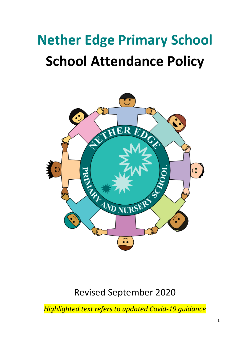# **Nether Edge Primary School School Attendance Policy**



# Revised September 2020

*Highlighted text refers to updated Covid-19 guidance*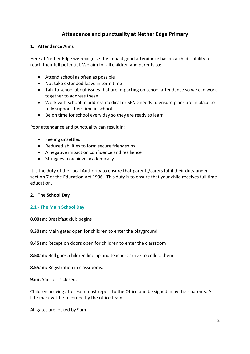# **Attendance and punctuality at Nether Edge Primary**

#### **1. Attendance Aims**

Here at Nether Edge we recognise the impact good attendance has on a child's ability to reach their full potential. We aim for all children and parents to:

- Attend school as often as possible
- Not take extended leave in term time
- Talk to school about issues that are impacting on school attendance so we can work together to address these
- Work with school to address medical or SEND needs to ensure plans are in place to fully support their time in school
- Be on time for school every day so they are ready to learn

Poor attendance and punctuality can result in:

- Feeling unsettled
- Reduced abilities to form secure friendships
- A negative impact on confidence and resilience
- Struggles to achieve academically

It is the duty of the Local Authority to ensure that parents/carers fulfil their duty under section 7 of the Education Act 1996. This duty is to ensure that your child receives full time education.

# **2. The School Day**

# **2.1 - The Main School Day**

**8.00am:** Breakfast club begins

**8.30am:** Main gates open for children to enter the playground

**8.45am:** Reception doors open for children to enter the classroom

**8:50am:** Bell goes, children line up and teachers arrive to collect them

**8.55am:** Registration in classrooms.

**9am:** Shutter is closed.

Children arriving after 9am must report to the Office and be signed in by their parents. A late mark will be recorded by the office team.

All gates are locked by 9am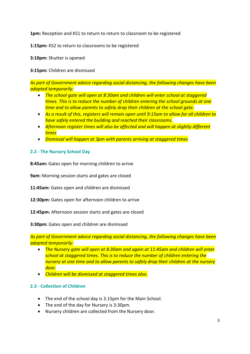**1pm:** Reception and KS1 to return to return to classroom to be registered

**1:15pm:** KS2 to return to classrooms to be registered

**3:10pm:** Shutter is opened

**3:15pm:** Children are dismissed

*As part of Government advice regarding social distancing, the following changes have been adopted temporarily:*

- *The school gate will open at 8:30am and children will enter school at staggered times. This is to reduce the number of children entering the school grounds at one time and to allow parents to safely drop their children at the school gate.*
- *As a result of this, registers will remain open until 9:15am to allow for all children to have safely entered the building and reached their classrooms.*
- *Afternoon register times will also be affected and will happen at slightly different times*
- *Dismissal will happen at 3pm with parents arriving at staggered times*

# **2.2 - The Nursery School Day**

**8:45am:** Gates open for morning children to arrive

**9am:** Morning session starts and gates are closed

**11:45am:** Gates open and children are dismissed

**12:30pm:** Gates open for afternoon children to arrive

**12:45pm:** Afternoon session starts and gates are closed

**3:30pm:** Gates open and children are dismissed

*As part of Government advice regarding social distancing, the following changes have been adopted temporarily:*

- *The Nursery gate will open at 8:30am and again at 11:45am and children will enter school at staggered times. This is to reduce the number of children entering the nursery at one time and to allow parents to safely drop their children at the nursery door.*
- *Children will be dismissed at staggered times also.*

# **2.3 - Collection of Children**

- The end of the school day is 3.15pm for the Main School.
- The end of the day for Nursery is 3:30pm.
- Nursery children are collected from the Nursery door.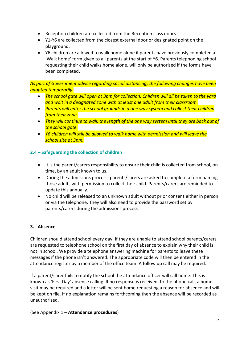- Reception children are collected from the Reception class doors
- Y1-Y6 are collected from the closest external door or designated point on the playground.
- Y6 children are allowed to walk home alone if parents have previously completed a 'Walk home' form given to all parents at the start of Y6. Parents telephoning school requesting their child walks home alone, will only be authorised if the forms have been completed.

*As part of Government advice regarding social distancing, the following changes have been adopted temporarily:*

- *The school gate will open at 3pm for collection. Children will all be taken to the yard and wait in a designated zone with at least one adult from their classroom.*
- *Parents will enter the school grounds in a one way system and collect their children from their zone.*
- *They will continue to walk the length of the one way system until they are back out of the school gate.*
- *Y6 children will still be allowed to walk home with permission and will leave the school site at 3pm.*

# **2.4 – Safeguarding the collection of children**

- It is the parent/carers responsibility to ensure their child is collected from school, on time, by an adult known to us.
- During the admissions process, parents/carers are asked to complete a form naming those adults with permission to collect their child. Parents/carers are reminded to update this annually.
- No child will be released to an unknown adult without prior consent either in person or via the telephone. They will also need to provide the password set by parents/carers during the admissions process.

# **3. Absence**

Children should attend school every day. If they are unable to attend school parents/carers are requested to telephone school on the first day of absence to explain why their child is not in school. We provide a telephone answering machine for parents to leave these messages if the phone isn't answered. The appropriate code will then be entered in the attendance register by a member of the office team. A follow up call may be required.

If a parent/carer fails to notify the school the attendance officer will call home. This is known as 'First Day' absence calling. If no response is received, to the phone call, a home visit may be required and a letter will be sent home requesting a reason for absence and will be kept on file. If no explanation remains forthcoming then the absence will be recorded as unauthorised.

(See Appendix 1 – **Attendance procedures**)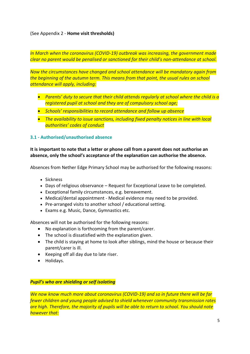(See Appendix 2 - **Home visit thresholds)**

*In March when the coronavirus (COVID-19) outbreak was increasing, the government made clear no parent would be penalised or sanctioned for their child's non-attendance at school.*

*Now the circumstances have changed and school attendance will be mandatory again from the beginning of the autumn term. This means from that point, the usual rules on school attendance will apply, including:*

- *Parents' duty to secure that their child attends regularly at school where the child is a registered pupil at school and they are of compulsory school age;*
- *Schools' responsibilities to record attendance and follow up absence*
- *The availability to issue sanctions, including fixed penalty notices in line with local authorities' codes of conduct*

#### **3.1 - Authorised/unauthorised absence**

**It is important to note that a letter or phone call from a parent does not authorise an absence, only the school's acceptance of the explanation can authorise the absence.**

Absences from Nether Edge Primary School may be authorised for the following reasons:

- Sickness
- Days of religious observance Request for Exceptional Leave to be completed.
- Exceptional family circumstances, e.g. bereavement.
- Medical/dental appointment Medical evidence may need to be provided.
- Pre-arranged visits to another school / educational setting.
- Exams e.g. Music, Dance, Gymnastics etc.

Absences will not be authorised for the following reasons:

- No explanation is forthcoming from the parent/carer.
- The school is dissatisfied with the explanation given.
- The child is staying at home to look after siblings, mind the house or because their parent/carer is ill.
- Keeping off all day due to late riser.
- Holidays.

#### *Pupil's who are shielding or self isolating*

*We now know much more about coronavirus (COVID-19) and so in future there will be far fewer children and young people advised to shield whenever community transmission rates are high. Therefore, the majority of pupils will be able to return to school. You should note however that:*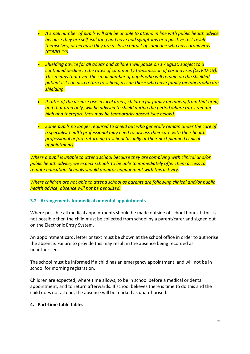- *A small number of pupils will still be unable to attend in line with public health advice because they are self-isolating and have had symptoms or a positive test result themselves; or because they are a close contact of someone who has coronavirus (COVID-19)*
- *Shielding advice for all adults and children will pause on 1 August, subject to a continued decline in the rates of community transmission of coronavirus (COVID-19). This means that even the small number of pupils who will remain on the shielded patient list can also return to school, as can those who have family members who are shielding.*
- *If rates of the disease rise in local areas, children (or family members) from that area, and that area only, will be advised to shield during the period where rates remain high and therefore they may be temporarily absent (see below).*
- *Some pupils no longer required to shield but who generally remain under the care of a specialist health professional may need to discuss their care with their health professional before returning to school (usually at their next planned clinical appointment).*

*Where a pupil is unable to attend school because they are complying with clinical and/or public health advice, we expect schools to be able to immediately offer them access to remote education. Schools should monitor engagement with this activity.*

*Where children are not able to attend school as parents are following clinical and/or public health advice, absence will not be penalised.*

#### **3.2 - Arrangements for medical or dental appointments**

Where possible all medical appointments should be made outside of school hours. If this is not possible then the child must be collected from school by a parent/carer and signed out on the Electronic Entry System.

An appointment card, letter or text must be shown at the school office in order to authorise the absence. Failure to provide this may result in the absence being recorded as unauthorised.

The school must be informed if a child has an emergency appointment, and will not be in school for morning registration.

Children are expected, where time allows, to be in school before a medical or dental appointment, and to return afterwards. If school believes there is time to do this and the child does not attend, the absence will be marked as unauthorised.

#### **4. Part-time table tables**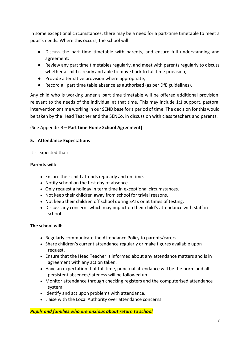In some exceptional circumstances, there may be a need for a part-time timetable to meet a pupil's needs. Where this occurs, the school will:

- Discuss the part time timetable with parents, and ensure full understanding and agreement;
- Review any part time timetables regularly, and meet with parents regularly to discuss whether a child is ready and able to move back to full time provision;
- Provide alternative provision where appropriate;
- Record all part time table absence as authorised (as per DfE guidelines).

Any child who is working under a part time timetable will be offered additional provision, relevant to the needs of the individual at that time. This may include 1:1 support, pastoral intervention or time working in our SEND base for a period of time. The decision for this would be taken by the Head Teacher and the SENCo, in discussion with class teachers and parents.

# (See Appendix 3 – **Part time Home School Agreement)**

#### **5. Attendance Expectations**

It is expected that:

#### **Parents will:**

- Ensure their child attends regularly and on time.
- Notify school on the first day of absence.
- Only request a holiday in term time in exceptional circumstances.
- Not keep their children away from school for trivial reasons.
- Not keep their children off school during SATs or at times of testing.
- Discuss any concerns which may impact on their child's attendance with staff in school

#### **The school will:**

- Regularly communicate the Attendance Policy to parents/carers.
- Share children's current attendance regularly or make figures available upon request.
- Ensure that the Head Teacher is informed about any attendance matters and is in agreement with any action taken.
- Have an expectation that full time, punctual attendance will be the norm and all persistent absences/lateness will be followed up.
- Monitor attendance through checking registers and the computerised attendance system.
- Identify and act upon problems with attendance.
- Liaise with the Local Authority over attendance concerns.

*Pupils and families who are anxious about return to school*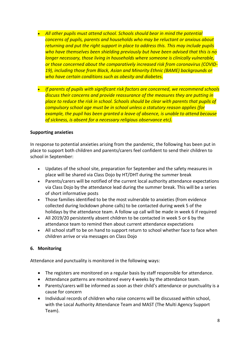- *All other pupils must attend school. Schools should bear in mind the potential concerns of pupils, parents and households who may be reluctant or anxious about returning and put the right support in place to address this. This may include pupils who have themselves been shielding previously but have been advised that this is no longer necessary, those living in households where someone is clinically vulnerable, or those concerned about the comparatively increased risk from coronavirus (COVID-19), including those from Black, Asian and Minority Ethnic (BAME) backgrounds or who have certain conditions such as obesity and diabetes.*
- *If parents of pupils with significant risk factors are concerned, we recommend schools discuss their concerns and provide reassurance of the measures they are putting in place to reduce the risk in school. Schools should be clear with parents that pupils of compulsory school age must be in school unless a statutory reason applies (for example, the pupil has been granted a leave of absence, is unable to attend because of sickness, is absent for a necessary religious observance etc).*

# **Supporting anxieties**

In response to potential anxieties arising from the pandemic, the following has been put in place to support both children and parents/carers feel confident to send their children to school in September:

- Updates of the school site, preparation for September and the safety measures in place will be shared via Class Dojo by HT/DHT during the summer break
- Parents/carers will be notified of the current local authority attendance expectations via Class Dojo by the attendance lead during the summer break. This will be a series of short informative posts
- Those families identified to be the most vulnerable to anxieties (from evidence collected during lockdown phone calls) to be contacted during week 5 of the holidays by the attendance team. A follow up call will be made in week 6 if required
- All 2019/20 persistently absent children to be contacted in week 5 or 6 by the attendance team to remind then about current attendance expectations
- All school staff to be on hand to support return to school whether face to face when children arrive or via messages on Class Dojo

# **6. Monitoring**

Attendance and punctuality is monitored in the following ways:

- The registers are monitored on a regular basis by staff responsible for attendance.
- Attendance patterns are monitored every 4 weeks by the attendance team.
- Parents/carers will be informed as soon as their child's attendance or punctuality is a cause for concern
- Individual records of children who raise concerns will be discussed within school, with the Local Authority Attendance Team and MAST (The Multi Agency Support Team).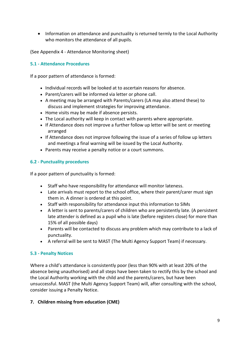• Information on attendance and punctuality is returned termly to the Local Authority who monitors the attendance of all pupils.

(See Appendix 4 - Attendance Monitoring sheet)

#### **5.1 - Attendance Procedures**

If a poor pattern of attendance is formed:

- Individual records will be looked at to ascertain reasons for absence.
- Parent/carers will be informed via letter or phone call.
- A meeting may be arranged with Parents/carers (LA may also attend these) to discuss and implement strategies for improving attendance.
- Home visits may be made if absence persists.
- The Local authority will keep in contact with parents where appropriate.
- If Attendance does not improve a further follow up letter will be sent or meeting arranged
- If Attendance does not improve following the issue of a series of follow up letters and meetings a final warning will be issued by the Local Authority.
- Parents may receive a penalty notice or a court summons.

#### **6.2 - Punctuality procedures**

If a poor pattern of punctuality is formed:

- Staff who have responsibility for attendance will monitor lateness.
- Late arrivals must report to the school office, where their parent/carer must sign them in. A dinner is ordered at this point.
- Staff with responsibility for attendance input this information to SIMs
- A letter is sent to parents/carers of children who are persistently late. (A persistent late attender is defined as a pupil who is late (before registers close) for more than 15% of all possible days)
- Parents will be contacted to discuss any problem which may contribute to a lack of punctuality.
- A referral will be sent to MAST (The Multi Agency Support Team) if necessary.

# **5.3 - Penalty Notices**

Where a child's attendance is consistently poor (less than 90% with at least 20% of the absence being unauthorised) and all steps have been taken to rectify this by the school and the Local Authority working with the child and the parents/carers, but have been unsuccessful. MAST (the Multi Agency Support Team) will, after consulting with the school, consider issuing a Penalty Notice.

# **7. Children missing from education (CME)**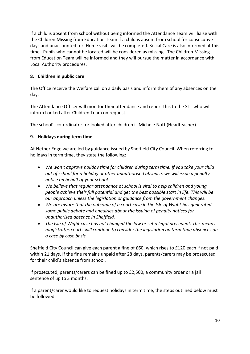If a child is absent from school without being informed the Attendance Team will liaise with the Children Missing from Education Team if a child is absent from school for consecutive days and unaccounted for. Home visits will be completed. Social Care is also informed at this time. Pupils who cannot be located will be considered as missing. The Children Missing from Education Team will be informed and they will pursue the matter in accordance with Local Authority procedures.

# **8. Children in public care**

The Office receive the Welfare call on a daily basis and inform them of any absences on the day.

The Attendance Officer will monitor their attendance and report this to the SLT who will inform Looked after Children Team on request.

The school's co-ordinator for looked after children is Michele Nott (Headteacher)

# **9. Holidays during term time**

At Nether Edge we are led by guidance issued by Sheffield City Council. When referring to holidays in term time, they state the following:

- *We won't approve holiday time for children during term time. If you take your child out of school for a holiday or other unauthorised absence, we will issue a penalty notice on behalf of your school.*
- *We believe that regular attendance at school is vital to help children and young people achieve their full potential and get the best possible start in life. This will be our approach unless the legislation or guidance from the government changes.*
- *We are aware that the outcome of a court case in the Isle of Wight has generated some public debate and enquiries about the issuing of penalty notices for unauthorised absence in Sheffield.*
- *The Isle of Wight case has not changed the law or set a legal precedent. This means magistrates courts will continue to consider the legislation on term time absences on a case by case basis.*

Sheffield City Council can give each parent a fine of £60, which rises to £120 each if not paid within 21 days. If the fine remains unpaid after 28 days, parents/carers may be prosecuted for their child's absence from school.

If prosecuted, parents/carers can be fined up to £2,500, a community order or a jail sentence of up to 3 months.

If a parent/carer would like to request holidays in term time, the steps outlined below must be followed: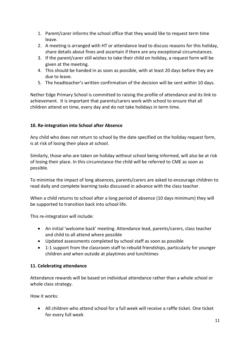- 1. Parent/carer informs the school office that they would like to request term time leave.
- 2. A meeting is arranged with HT or attendance lead to discuss reasons for this holiday, share details about fines and ascertain if there are any exceptional circumstances.
- 3. If the parent/carer still wishes to take their child on holiday, a request form will be given at the meeting.
- 4. This should be handed in as soon as possible, with at least 20 days before they are due to leave.
- 5. The headteacher's written confirmation of the decision will be sent within 10 days.

Nether Edge Primary School is committed to raising the profile of attendance and its link to achievement. It is important that parents/carers work with school to ensure that all children attend on time, every day and do not take holidays in term time.

# **10. Re-integration into School after Absence**

Any child who does not return to school by the date specified on the holiday request form, is at risk of losing their place at school.

Similarly, those who are taken on holiday without school being informed, will also be at risk of losing their place. In this circumstance the child will be referred to CME as soon as possible.

To minimise the impact of long absences, parents/carers are asked to encourage children to read daily and complete learning tasks discussed in advance with the class teacher.

When a child returns to school after a long period of absence (10 days minimum) they will be supported to transition back into school life.

This re-integration will include:

- An initial 'welcome back' meeting. Attendance lead, parents/carers, class teacher and child to all attend where possible
- Updated assessments completed by school staff as soon as possible
- 1:1 support from the classroom staff to rebuild friendships, particularly for younger children and when outside at playtimes and lunchtimes

# **11. Celebrating attendance**

Attendance rewards will be based on individual attendance rather than a whole school or whole class strategy.

How it works:

• All children who attend school for a full week will receive a raffle ticket. One ticket for every full week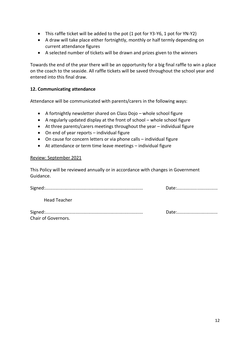- This raffle ticket will be added to the pot (1 pot for Y3-Y6, 1 pot for YN-Y2)
- A draw will take place either fortnightly, monthly or half termly depending on current attendance figures
- A selected number of tickets will be drawn and prizes given to the winners

Towards the end of the year there will be an opportunity for a big final raffle to win a place on the coach to the seaside. All raffle tickets will be saved throughout the school year and entered into this final draw.

#### **12. Communicating attendance**

Attendance will be communicated with parents/carers in the following ways:

- A fortnightly newsletter shared on Class Dojo whole school figure
- A regularly updated display at the front of school whole school figure
- At three parents/carers meetings throughout the year individual figure
- On end of year reports individual figure
- On cause for concern letters or via phone calls individual figure
- At attendance or term time leave meetings individual figure

#### Review: September 2021

This Policy will be reviewed annually or in accordance with changes in Government Guidance.

|                     | Date: |
|---------------------|-------|
| <b>Head Teacher</b> |       |
| Chair of Governors. | Date: |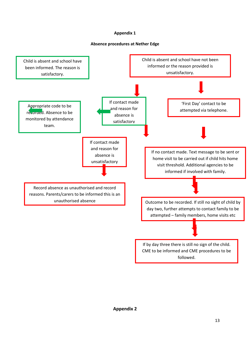#### **Appendix 1**

#### **Absence procedures at Nether Edge**

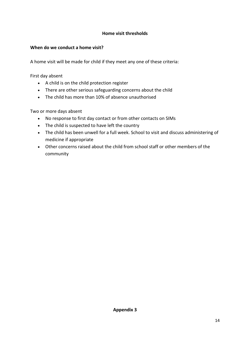# **Home visit thresholds**

# **When do we conduct a home visit?**

A home visit will be made for child if they meet any one of these criteria:

First day absent

- A child is on the child protection register
- There are other serious safeguarding concerns about the child
- The child has more than 10% of absence unauthorised

Two or more days absent

- No response to first day contact or from other contacts on SIMs
- The child is suspected to have left the country
- The child has been unwell for a full week. School to visit and discuss administering of medicine if appropriate
- Other concerns raised about the child from school staff or other members of the community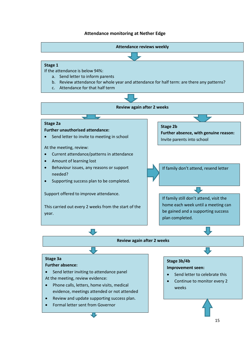#### **Attendance monitoring at Nether Edge**

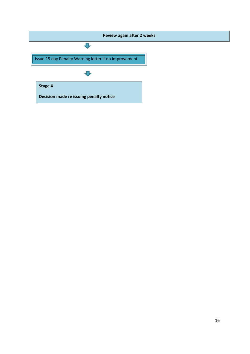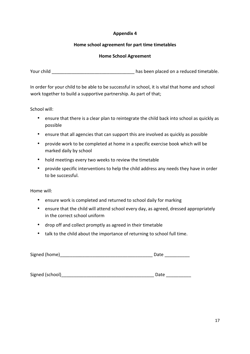# **Appendix 4**

#### **Home school agreement for part time timetables**

#### **Home School Agreement**

Your child **Your child Your child has been placed on a reduced timetable.** 

In order for your child to be able to be successful in school, it is vital that home and school work together to build a supportive partnership. As part of that;

School will:

- ensure that there is a clear plan to reintegrate the child back into school as quickly as possible
- ensure that all agencies that can support this are involved as quickly as possible
- provide work to be completed at home in a specific exercise book which will be marked daily by school
- hold meetings every two weeks to review the timetable
- provide specific interventions to help the child address any needs they have in order to be successful.

Home will:

- ensure work is completed and returned to school daily for marking
- ensure that the child will attend school every day, as agreed, dressed appropriately in the correct school uniform
- drop off and collect promptly as agreed in their timetable
- talk to the child about the importance of returning to school full time.

| Signed (home) | Datc |
|---------------|------|
|---------------|------|

Signed (school)\_\_\_\_\_\_\_\_\_\_\_\_\_\_\_\_\_\_\_\_\_\_\_\_\_\_\_\_\_\_\_\_\_\_\_\_\_ Date \_\_\_\_\_\_\_\_\_\_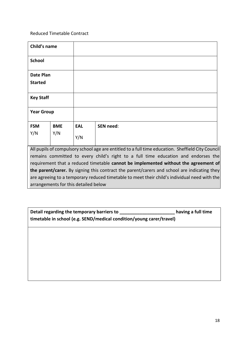Reduced Timetable Contract

| Child's name                                                                                                                                                                            |            |            |                  |
|-----------------------------------------------------------------------------------------------------------------------------------------------------------------------------------------|------------|------------|------------------|
| <b>School</b>                                                                                                                                                                           |            |            |                  |
| Date Plan<br><b>Started</b>                                                                                                                                                             |            |            |                  |
| <b>Key Staff</b>                                                                                                                                                                        |            |            |                  |
| <b>Year Group</b>                                                                                                                                                                       |            |            |                  |
| <b>FSM</b>                                                                                                                                                                              | <b>BME</b> | <b>EAL</b> | <b>SEN need:</b> |
| Y/N                                                                                                                                                                                     | Y/N        | Y/N        |                  |
| All pupils of compulsory school age are entitled to a full time education. Sheffield City Council<br>remains committed to every child's right to a full time education and endorses the |            |            |                  |

requirement that a reduced timetable **cannot be implemented without the agreement of the parent/carer.** By signing this contract the parent/carers and school are indicating they are agreeing to a temporary reduced timetable to meet their child's individual need with the arrangements for this detailed below

| Detail regarding the temporary barriers to<br>timetable in school (e.g. SEND/medical condition/young carer/travel) | having a full time |
|--------------------------------------------------------------------------------------------------------------------|--------------------|
|                                                                                                                    |                    |
|                                                                                                                    |                    |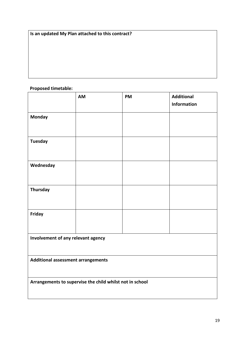**Is an updated My Plan attached to this contract?** 

# **Proposed timetable:**

|                                                          | AM | <b>PM</b> | <b>Additional</b><br><b>Information</b> |
|----------------------------------------------------------|----|-----------|-----------------------------------------|
| <b>Monday</b>                                            |    |           |                                         |
| <b>Tuesday</b>                                           |    |           |                                         |
| Wednesday                                                |    |           |                                         |
|                                                          |    |           |                                         |
| <b>Thursday</b>                                          |    |           |                                         |
| <b>Friday</b>                                            |    |           |                                         |
| Involvement of any relevant agency                       |    |           |                                         |
| Additional assessment arrangements                       |    |           |                                         |
| Arrangements to supervise the child whilst not in school |    |           |                                         |